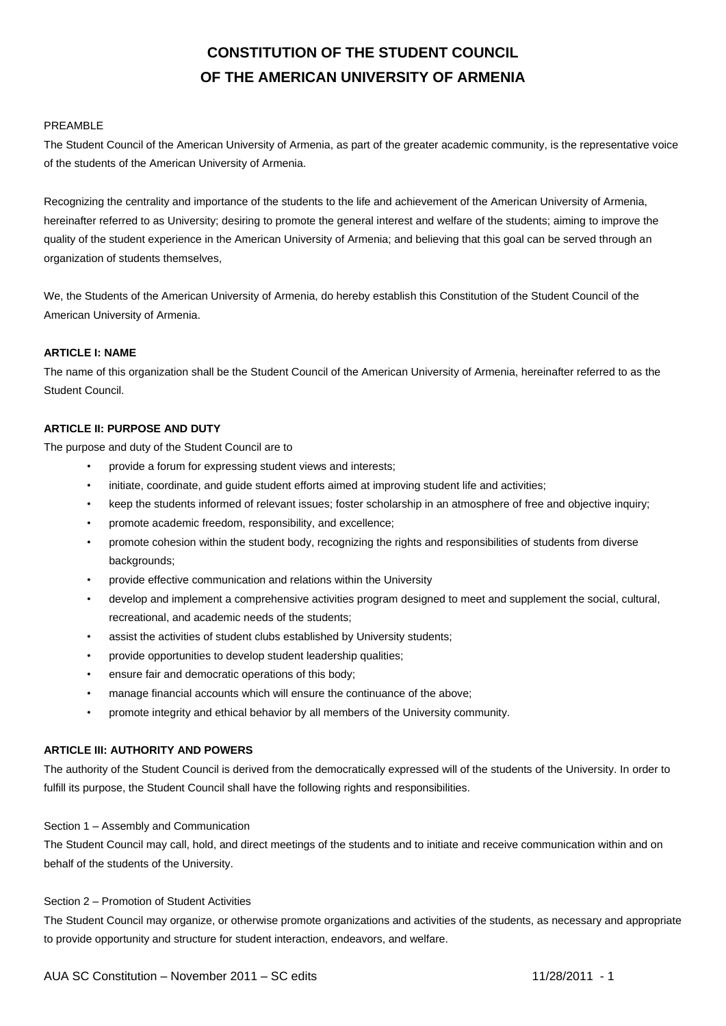# **CONSTITUTION OF THE STUDENT COUNCIL OF THE AMERICAN UNIVERSITY OF ARMENIA**

## PREAMBLE

The Student Council of the American University of Armenia, as part of the greater academic community, is the representative voice of the students of the American University of Armenia.

Recognizing the centrality and importance of the students to the life and achievement of the American University of Armenia, hereinafter referred to as University; desiring to promote the general interest and welfare of the students; aiming to improve the quality of the student experience in the American University of Armenia; and believing that this goal can be served through an organization of students themselves,

We, the Students of the American University of Armenia, do hereby establish this Constitution of the Student Council of the American University of Armenia.

# **ARTICLE I: NAME**

The name of this organization shall be the Student Council of the American University of Armenia, hereinafter referred to as the Student Council.

## **ARTICLE II: PURPOSE AND DUTY**

The purpose and duty of the Student Council are to

- provide a forum for expressing student views and interests;
- initiate, coordinate, and guide student efforts aimed at improving student life and activities;
- keep the students informed of relevant issues; foster scholarship in an atmosphere of free and objective inquiry;
- promote academic freedom, responsibility, and excellence;
- promote cohesion within the student body, recognizing the rights and responsibilities of students from diverse backgrounds:
- provide effective communication and relations within the University
- develop and implement a comprehensive activities program designed to meet and supplement the social, cultural, recreational, and academic needs of the students;
- assist the activities of student clubs established by University students;
- provide opportunities to develop student leadership qualities;
- ensure fair and democratic operations of this body;
- manage financial accounts which will ensure the continuance of the above;
- promote integrity and ethical behavior by all members of the University community.

## **ARTICLE III: AUTHORITY AND POWERS**

The authority of the Student Council is derived from the democratically expressed will of the students of the University. In order to fulfill its purpose, the Student Council shall have the following rights and responsibilities.

## Section 1 – Assembly and Communication

The Student Council may call, hold, and direct meetings of the students and to initiate and receive communication within and on behalf of the students of the University.

## Section 2 – Promotion of Student Activities

The Student Council may organize, or otherwise promote organizations and activities of the students, as necessary and appropriate to provide opportunity and structure for student interaction, endeavors, and welfare.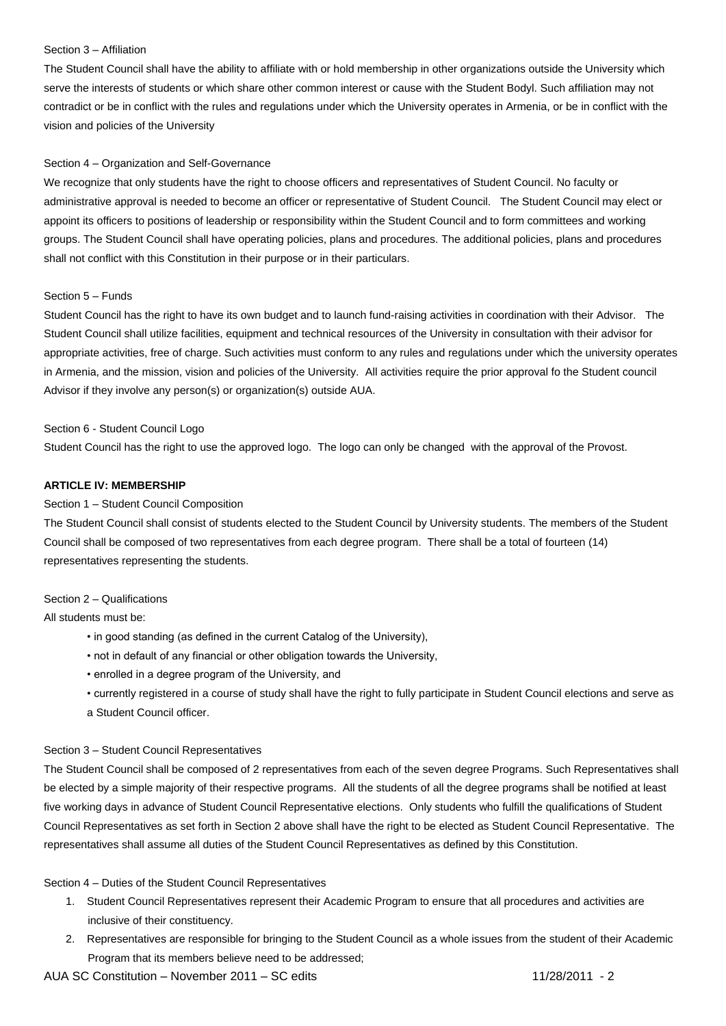## Section 3 – Affiliation

The Student Council shall have the ability to affiliate with or hold membership in other organizations outside the University which serve the interests of students or which share other common interest or cause with the Student Bodyl. Such affiliation may not contradict or be in conflict with the rules and regulations under which the University operates in Armenia, or be in conflict with the vision and policies of the University

## Section 4 – Organization and Self-Governance

We recognize that only students have the right to choose officers and representatives of Student Council. No faculty or administrative approval is needed to become an officer or representative of Student Council. The Student Council may elect or appoint its officers to positions of leadership or responsibility within the Student Council and to form committees and working groups. The Student Council shall have operating policies, plans and procedures. The additional policies, plans and procedures shall not conflict with this Constitution in their purpose or in their particulars.

# Section 5 – Funds

Student Council has the right to have its own budget and to launch fund-raising activities in coordination with their Advisor. The Student Council shall utilize facilities, equipment and technical resources of the University in consultation with their advisor for appropriate activities, free of charge. Such activities must conform to any rules and regulations under which the university operates in Armenia, and the mission, vision and policies of the University. All activities require the prior approval fo the Student council Advisor if they involve any person(s) or organization(s) outside AUA.

# Section 6 - Student Council Logo

Student Council has the right to use the approved logo. The logo can only be changed with the approval of the Provost.

## **ARTICLE IV: MEMBERSHIP**

## Section 1 – Student Council Composition

The Student Council shall consist of students elected to the Student Council by University students. The members of the Student Council shall be composed of two representatives from each degree program. There shall be a total of fourteen (14) representatives representing the students.

## Section 2 – Qualifications

All students must be:

- in good standing (as defined in the current Catalog of the University),
- not in default of any financial or other obligation towards the University,
- enrolled in a degree program of the University, and
- currently registered in a course of study shall have the right to fully participate in Student Council elections and serve as a Student Council officer.

## Section 3 – Student Council Representatives

The Student Council shall be composed of 2 representatives from each of the seven degree Programs. Such Representatives shall be elected by a simple majority of their respective programs. All the students of all the degree programs shall be notified at least five working days in advance of Student Council Representative elections. Only students who fulfill the qualifications of Student Council Representatives as set forth in Section 2 above shall have the right to be elected as Student Council Representative. The representatives shall assume all duties of the Student Council Representatives as defined by this Constitution.

## Section 4 – Duties of the Student Council Representatives

- 1. Student Council Representatives represent their Academic Program to ensure that all procedures and activities are inclusive of their constituency.
- 2. Representatives are responsible for bringing to the Student Council as a whole issues from the student of their Academic Program that its members believe need to be addressed;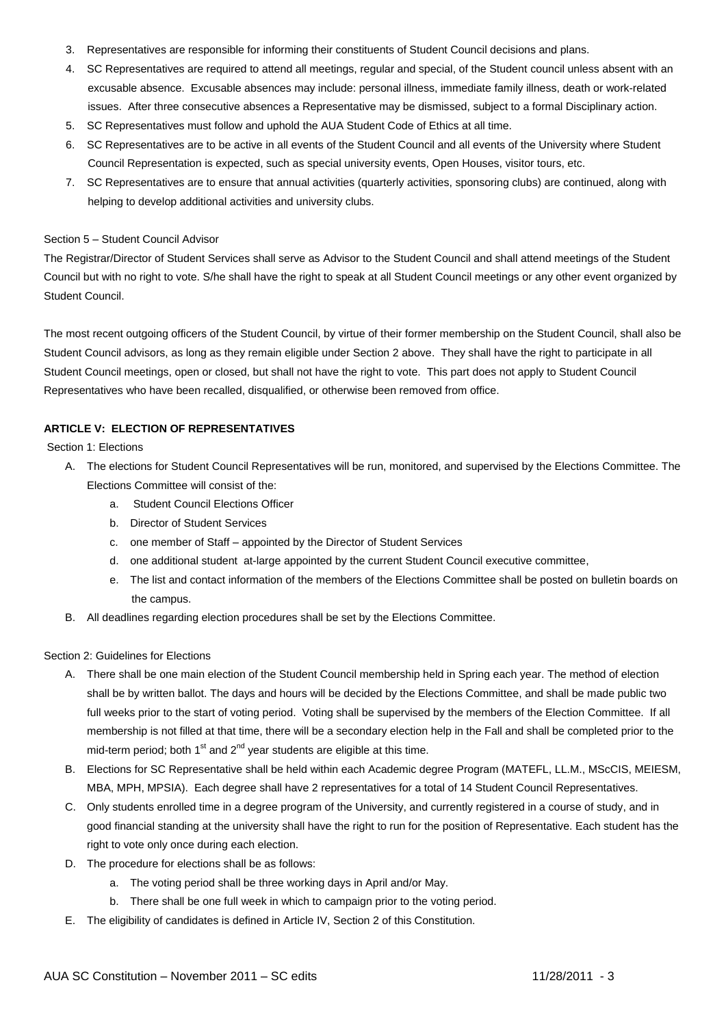- 3. Representatives are responsible for informing their constituents of Student Council decisions and plans.
- 4. SC Representatives are required to attend all meetings, regular and special, of the Student council unless absent with an excusable absence. Excusable absences may include: personal illness, immediate family illness, death or work-related issues. After three consecutive absences a Representative may be dismissed, subject to a formal Disciplinary action.
- 5. SC Representatives must follow and uphold the AUA Student Code of Ethics at all time.
- 6. SC Representatives are to be active in all events of the Student Council and all events of the University where Student Council Representation is expected, such as special university events, Open Houses, visitor tours, etc.
- 7. SC Representatives are to ensure that annual activities (quarterly activities, sponsoring clubs) are continued, along with helping to develop additional activities and university clubs.

## Section 5 – Student Council Advisor

The Registrar/Director of Student Services shall serve as Advisor to the Student Council and shall attend meetings of the Student Council but with no right to vote. S/he shall have the right to speak at all Student Council meetings or any other event organized by Student Council.

The most recent outgoing officers of the Student Council, by virtue of their former membership on the Student Council, shall also be Student Council advisors, as long as they remain eligible under Section 2 above. They shall have the right to participate in all Student Council meetings, open or closed, but shall not have the right to vote. This part does not apply to Student Council Representatives who have been recalled, disqualified, or otherwise been removed from office.

# **ARTICLE V: ELECTION OF REPRESENTATIVES**

# Section 1: Elections

- A. The elections for Student Council Representatives will be run, monitored, and supervised by the Elections Committee. The Elections Committee will consist of the:
	- a. Student Council Elections Officer
	- b. Director of Student Services
	- c. one member of Staff appointed by the Director of Student Services
	- d. one additional student at-large appointed by the current Student Council executive committee,
	- e. The list and contact information of the members of the Elections Committee shall be posted on bulletin boards on the campus.
- B. All deadlines regarding election procedures shall be set by the Elections Committee.

# Section 2: Guidelines for Elections

- A. There shall be one main election of the Student Council membership held in Spring each year. The method of election shall be by written ballot. The days and hours will be decided by the Elections Committee, and shall be made public two full weeks prior to the start of voting period. Voting shall be supervised by the members of the Election Committee. If all membership is not filled at that time, there will be a secondary election help in the Fall and shall be completed prior to the mid-term period; both  $1<sup>st</sup>$  and  $2<sup>nd</sup>$  year students are eligible at this time.
- B. Elections for SC Representative shall be held within each Academic degree Program (MATEFL, LL.M., MScCIS, MEIESM, MBA, MPH, MPSIA). Each degree shall have 2 representatives for a total of 14 Student Council Representatives.
- C. Only students enrolled time in a degree program of the University, and currently registered in a course of study, and in good financial standing at the university shall have the right to run for the position of Representative. Each student has the right to vote only once during each election.
- D. The procedure for elections shall be as follows:
	- a. The voting period shall be three working days in April and/or May.
	- b. There shall be one full week in which to campaign prior to the voting period.
- E. The eligibility of candidates is defined in Article IV, Section 2 of this Constitution.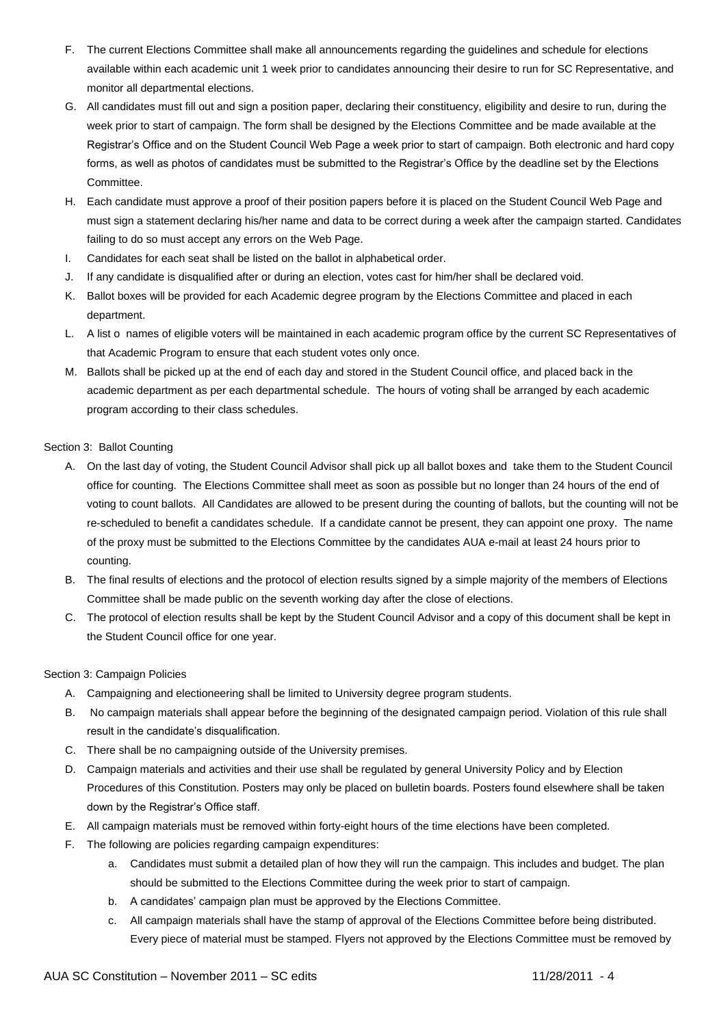- F. The current Elections Committee shall make all announcements regarding the guidelines and schedule for elections available within each academic unit 1 week prior to candidates announcing their desire to run for SC Representative, and monitor all departmental elections.
- G. All candidates must fill out and sign a position paper, declaring their constituency, eligibility and desire to run, during the week prior to start of campaign. The form shall be designed by the Elections Committee and be made available at the Registrar's Office and on the Student Council Web Page a week prior to start of campaign. Both electronic and hard copy forms, as well as photos of candidates must be submitted to the Registrar's Office by the deadline set by the Elections Committee.
- H. Each candidate must approve a proof of their position papers before it is placed on the Student Council Web Page and must sign a statement declaring his/her name and data to be correct during a week after the campaign started. Candidates failing to do so must accept any errors on the Web Page.
- I. Candidates for each seat shall be listed on the ballot in alphabetical order.
- J. If any candidate is disqualified after or during an election, votes cast for him/her shall be declared void.
- K. Ballot boxes will be provided for each Academic degree program by the Elections Committee and placed in each department.
- L. A list o names of eligible voters will be maintained in each academic program office by the current SC Representatives of that Academic Program to ensure that each student votes only once.
- M. Ballots shall be picked up at the end of each day and stored in the Student Council office, and placed back in the academic department as per each departmental schedule. The hours of voting shall be arranged by each academic program according to their class schedules.

# Section 3: Ballot Counting

- A. On the last day of voting, the Student Council Advisor shall pick up all ballot boxes and take them to the Student Council office for counting. The Elections Committee shall meet as soon as possible but no longer than 24 hours of the end of voting to count ballots. All Candidates are allowed to be present during the counting of ballots, but the counting will not be re-scheduled to benefit a candidates schedule. If a candidate cannot be present, they can appoint one proxy. The name of the proxy must be submitted to the Elections Committee by the candidates AUA e-mail at least 24 hours prior to counting.
- B. The final results of elections and the protocol of election results signed by a simple majority of the members of Elections Committee shall be made public on the seventh working day after the close of elections.
- C. The protocol of election results shall be kept by the Student Council Advisor and a copy of this document shall be kept in the Student Council office for one year.

# Section 3: Campaign Policies

- A. Campaigning and electioneering shall be limited to University degree program students.
- B. No campaign materials shall appear before the beginning of the designated campaign period. Violation of this rule shall result in the candidate's disqualification.
- C. There shall be no campaigning outside of the University premises.
- D. Campaign materials and activities and their use shall be regulated by general University Policy and by Election Procedures of this Constitution. Posters may only be placed on bulletin boards. Posters found elsewhere shall be taken down by the Registrar's Office staff.
- E. All campaign materials must be removed within forty-eight hours of the time elections have been completed.
- F. The following are policies regarding campaign expenditures:
	- a. Candidates must submit a detailed plan of how they will run the campaign. This includes and budget. The plan should be submitted to the Elections Committee during the week prior to start of campaign.
	- b. A candidates' campaign plan must be approved by the Elections Committee.
	- c. All campaign materials shall have the stamp of approval of the Elections Committee before being distributed. Every piece of material must be stamped. Flyers not approved by the Elections Committee must be removed by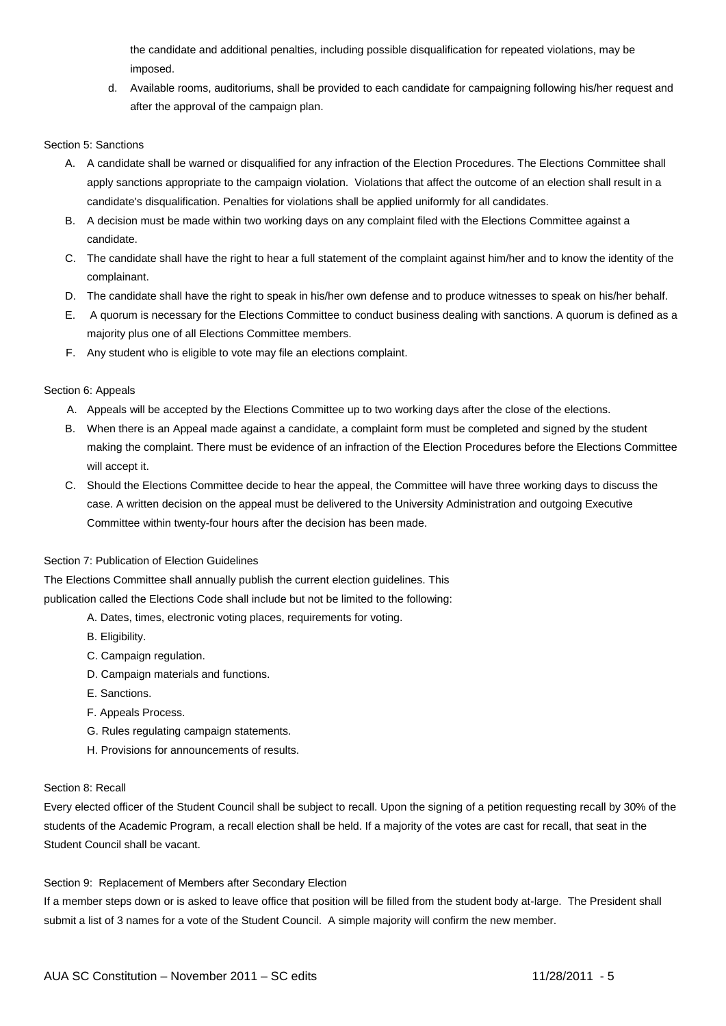the candidate and additional penalties, including possible disqualification for repeated violations, may be imposed.

d. Available rooms, auditoriums, shall be provided to each candidate for campaigning following his/her request and after the approval of the campaign plan.

## Section 5: Sanctions

- A. A candidate shall be warned or disqualified for any infraction of the Election Procedures. The Elections Committee shall apply sanctions appropriate to the campaign violation. Violations that affect the outcome of an election shall result in a candidate's disqualification. Penalties for violations shall be applied uniformly for all candidates.
- B. A decision must be made within two working days on any complaint filed with the Elections Committee against a candidate.
- C. The candidate shall have the right to hear a full statement of the complaint against him/her and to know the identity of the complainant.
- D. The candidate shall have the right to speak in his/her own defense and to produce witnesses to speak on his/her behalf.
- E. A quorum is necessary for the Elections Committee to conduct business dealing with sanctions. A quorum is defined as a majority plus one of all Elections Committee members.
- F. Any student who is eligible to vote may file an elections complaint.

## Section 6: Appeals

- A. Appeals will be accepted by the Elections Committee up to two working days after the close of the elections.
- B. When there is an Appeal made against a candidate, a complaint form must be completed and signed by the student making the complaint. There must be evidence of an infraction of the Election Procedures before the Elections Committee will accept it.
- C. Should the Elections Committee decide to hear the appeal, the Committee will have three working days to discuss the case. A written decision on the appeal must be delivered to the University Administration and outgoing Executive Committee within twenty-four hours after the decision has been made.

## Section 7: Publication of Election Guidelines

The Elections Committee shall annually publish the current election guidelines. This publication called the Elections Code shall include but not be limited to the following:

- A. Dates, times, electronic voting places, requirements for voting.
- B. Eligibility.
- C. Campaign regulation.
- D. Campaign materials and functions.
- E. Sanctions.
- F. Appeals Process.
- G. Rules regulating campaign statements.
- H. Provisions for announcements of results.

## Section 8: Recall

Every elected officer of the Student Council shall be subject to recall. Upon the signing of a petition requesting recall by 30% of the students of the Academic Program, a recall election shall be held. If a majority of the votes are cast for recall, that seat in the Student Council shall be vacant.

## Section 9: Replacement of Members after Secondary Election

If a member steps down or is asked to leave office that position will be filled from the student body at-large. The President shall submit a list of 3 names for a vote of the Student Council. A simple majority will confirm the new member.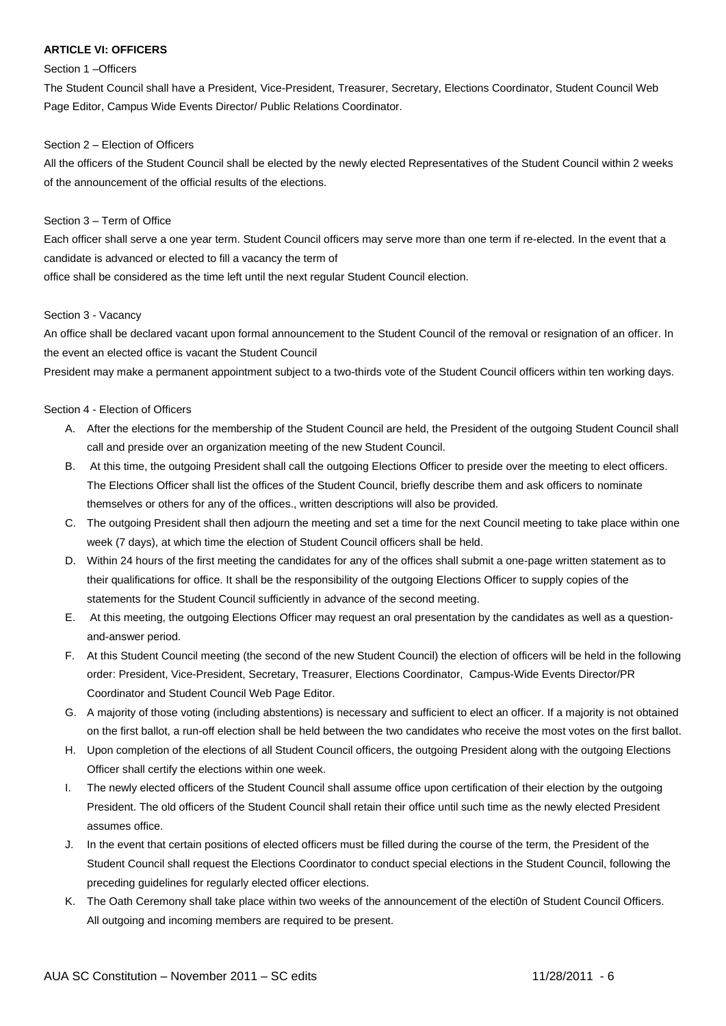## **ARTICLE VI: OFFICERS**

## Section 1 –Officers

The Student Council shall have a President, Vice-President, Treasurer, Secretary, Elections Coordinator, Student Council Web Page Editor, Campus Wide Events Director/ Public Relations Coordinator.

## Section 2 – Election of Officers

All the officers of the Student Council shall be elected by the newly elected Representatives of the Student Council within 2 weeks of the announcement of the official results of the elections.

# Section 3 – Term of Office

Each officer shall serve a one year term. Student Council officers may serve more than one term if re-elected. In the event that a candidate is advanced or elected to fill a vacancy the term of

office shall be considered as the time left until the next regular Student Council election.

## Section 3 - Vacancy

An office shall be declared vacant upon formal announcement to the Student Council of the removal or resignation of an officer. In the event an elected office is vacant the Student Council

President may make a permanent appointment subject to a two-thirds vote of the Student Council officers within ten working days.

# Section 4 - Election of Officers

- A. After the elections for the membership of the Student Council are held, the President of the outgoing Student Council shall call and preside over an organization meeting of the new Student Council.
- B. At this time, the outgoing President shall call the outgoing Elections Officer to preside over the meeting to elect officers. The Elections Officer shall list the offices of the Student Council, briefly describe them and ask officers to nominate themselves or others for any of the offices., written descriptions will also be provided.
- C. The outgoing President shall then adjourn the meeting and set a time for the next Council meeting to take place within one week (7 days), at which time the election of Student Council officers shall be held.
- D. Within 24 hours of the first meeting the candidates for any of the offices shall submit a one-page written statement as to their qualifications for office. It shall be the responsibility of the outgoing Elections Officer to supply copies of the statements for the Student Council sufficiently in advance of the second meeting.
- E. At this meeting, the outgoing Elections Officer may request an oral presentation by the candidates as well as a questionand-answer period.
- F. At this Student Council meeting (the second of the new Student Council) the election of officers will be held in the following order: President, Vice-President, Secretary, Treasurer, Elections Coordinator, Campus-Wide Events Director/PR Coordinator and Student Council Web Page Editor.
- G. A majority of those voting (including abstentions) is necessary and sufficient to elect an officer. If a majority is not obtained on the first ballot, a run-off election shall be held between the two candidates who receive the most votes on the first ballot.
- H. Upon completion of the elections of all Student Council officers, the outgoing President along with the outgoing Elections Officer shall certify the elections within one week.
- I. The newly elected officers of the Student Council shall assume office upon certification of their election by the outgoing President. The old officers of the Student Council shall retain their office until such time as the newly elected President assumes office.
- J. In the event that certain positions of elected officers must be filled during the course of the term, the President of the Student Council shall request the Elections Coordinator to conduct special elections in the Student Council, following the preceding guidelines for regularly elected officer elections.
- K. The Oath Ceremony shall take place within two weeks of the announcement of the electi0n of Student Council Officers. All outgoing and incoming members are required to be present.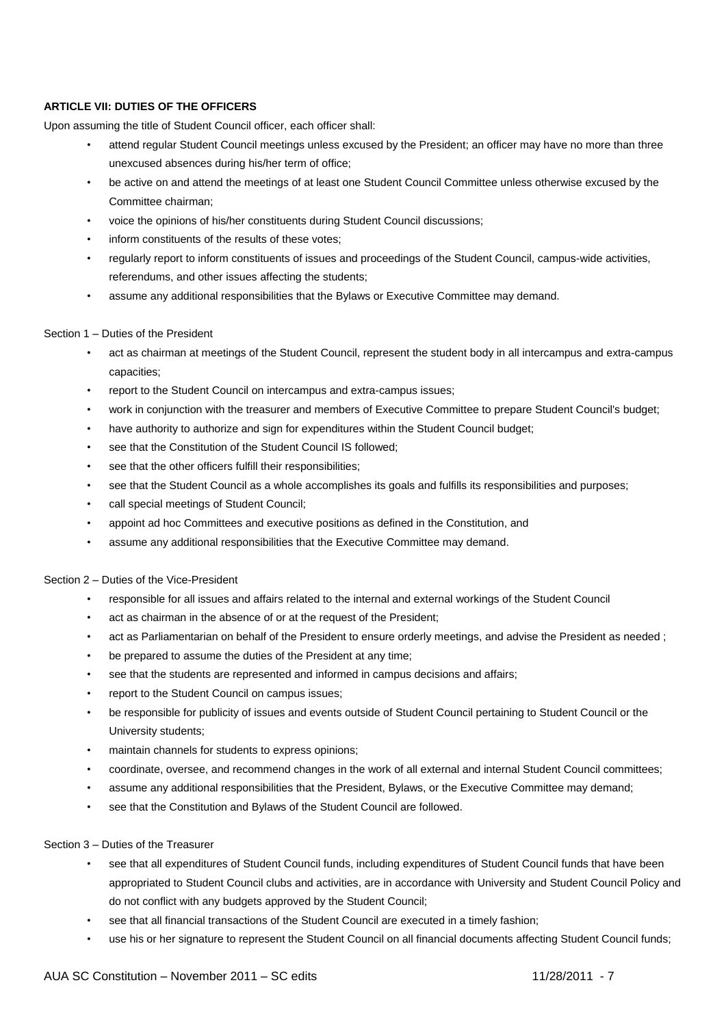# **ARTICLE VII: DUTIES OF THE OFFICERS**

Upon assuming the title of Student Council officer, each officer shall:

- attend regular Student Council meetings unless excused by the President; an officer may have no more than three unexcused absences during his/her term of office;
- be active on and attend the meetings of at least one Student Council Committee unless otherwise excused by the Committee chairman;
- voice the opinions of his/her constituents during Student Council discussions;
- inform constituents of the results of these votes;
- regularly report to inform constituents of issues and proceedings of the Student Council, campus-wide activities, referendums, and other issues affecting the students;
- assume any additional responsibilities that the Bylaws or Executive Committee may demand.

## Section 1 – Duties of the President

- act as chairman at meetings of the Student Council, represent the student body in all intercampus and extra-campus capacities;
- report to the Student Council on intercampus and extra-campus issues;
- work in conjunction with the treasurer and members of Executive Committee to prepare Student Council's budget;
- have authority to authorize and sign for expenditures within the Student Council budget;
- see that the Constitution of the Student Council IS followed;
- see that the other officers fulfill their responsibilities;
- see that the Student Council as a whole accomplishes its goals and fulfills its responsibilities and purposes;
- call special meetings of Student Council;
- appoint ad hoc Committees and executive positions as defined in the Constitution, and
- assume any additional responsibilities that the Executive Committee may demand.

# Section 2 – Duties of the Vice-President

- responsible for all issues and affairs related to the internal and external workings of the Student Council
- act as chairman in the absence of or at the request of the President;
- act as Parliamentarian on behalf of the President to ensure orderly meetings, and advise the President as needed ;
- be prepared to assume the duties of the President at any time;
- see that the students are represented and informed in campus decisions and affairs;
- report to the Student Council on campus issues;
- be responsible for publicity of issues and events outside of Student Council pertaining to Student Council or the University students;
- maintain channels for students to express opinions;
- coordinate, oversee, and recommend changes in the work of all external and internal Student Council committees;
- assume any additional responsibilities that the President, Bylaws, or the Executive Committee may demand;
- see that the Constitution and Bylaws of the Student Council are followed.

## Section 3 – Duties of the Treasurer

- see that all expenditures of Student Council funds, including expenditures of Student Council funds that have been appropriated to Student Council clubs and activities, are in accordance with University and Student Council Policy and do not conflict with any budgets approved by the Student Council;
- see that all financial transactions of the Student Council are executed in a timely fashion;
- use his or her signature to represent the Student Council on all financial documents affecting Student Council funds;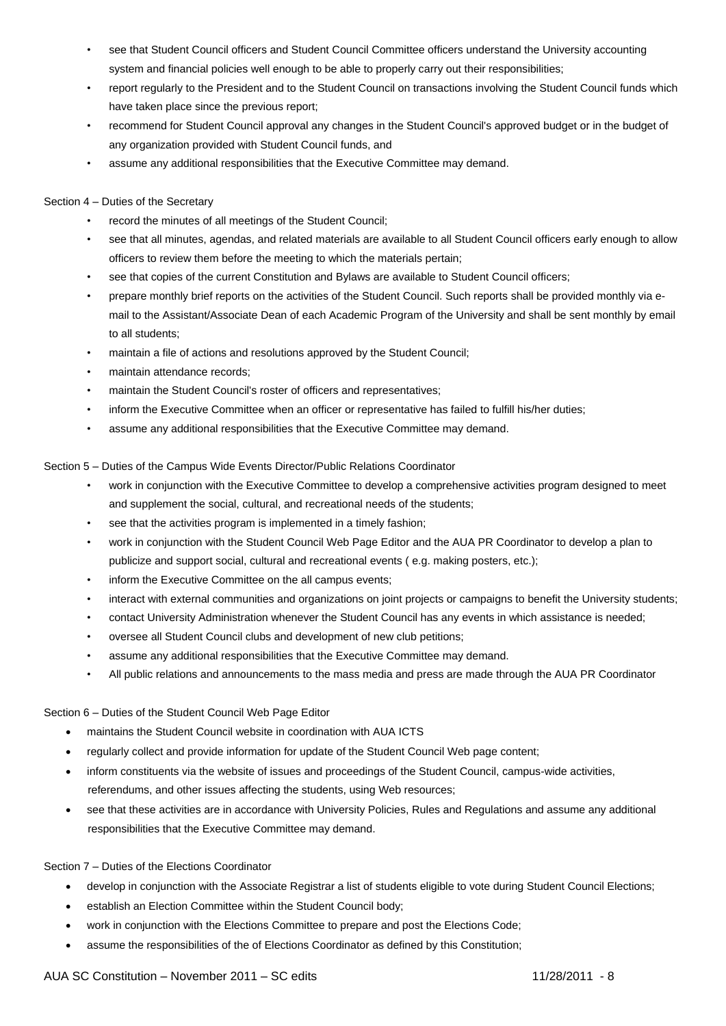- see that Student Council officers and Student Council Committee officers understand the University accounting system and financial policies well enough to be able to properly carry out their responsibilities;
- report regularly to the President and to the Student Council on transactions involving the Student Council funds which have taken place since the previous report;
- recommend for Student Council approval any changes in the Student Council's approved budget or in the budget of any organization provided with Student Council funds, and
- assume any additional responsibilities that the Executive Committee may demand.

# Section 4 – Duties of the Secretary

- record the minutes of all meetings of the Student Council;
- see that all minutes, agendas, and related materials are available to all Student Council officers early enough to allow officers to review them before the meeting to which the materials pertain;
- see that copies of the current Constitution and Bylaws are available to Student Council officers;
- prepare monthly brief reports on the activities of the Student Council. Such reports shall be provided monthly via email to the Assistant/Associate Dean of each Academic Program of the University and shall be sent monthly by email to all students;
- maintain a file of actions and resolutions approved by the Student Council;
- maintain attendance records;
- maintain the Student Council's roster of officers and representatives;
- inform the Executive Committee when an officer or representative has failed to fulfill his/her duties;
- assume any additional responsibilities that the Executive Committee may demand.

Section 5 – Duties of the Campus Wide Events Director/Public Relations Coordinator

- work in conjunction with the Executive Committee to develop a comprehensive activities program designed to meet and supplement the social, cultural, and recreational needs of the students;
- see that the activities program is implemented in a timely fashion;
- work in conjunction with the Student Council Web Page Editor and the AUA PR Coordinator to develop a plan to publicize and support social, cultural and recreational events ( e.g. making posters, etc.);
- inform the Executive Committee on the all campus events;
- interact with external communities and organizations on joint projects or campaigns to benefit the University students;
- contact University Administration whenever the Student Council has any events in which assistance is needed;
- oversee all Student Council clubs and development of new club petitions;
- assume any additional responsibilities that the Executive Committee may demand.
- All public relations and announcements to the mass media and press are made through the AUA PR Coordinator

# Section 6 – Duties of the Student Council Web Page Editor

- maintains the Student Council website in coordination with AUA ICTS
- regularly collect and provide information for update of the Student Council Web page content;
- inform constituents via the website of issues and proceedings of the Student Council, campus-wide activities, referendums, and other issues affecting the students, using Web resources;
- see that these activities are in accordance with University Policies, Rules and Regulations and assume any additional responsibilities that the Executive Committee may demand.

# Section 7 – Duties of the Elections Coordinator

- develop in conjunction with the Associate Registrar a list of students eligible to vote during Student Council Elections;
- establish an Election Committee within the Student Council body;
- work in conjunction with the Elections Committee to prepare and post the Elections Code;
- assume the responsibilities of the of Elections Coordinator as defined by this Constitution;

# AUA SC Constitution – November 2011 – SC edits 11/28/2011 - 8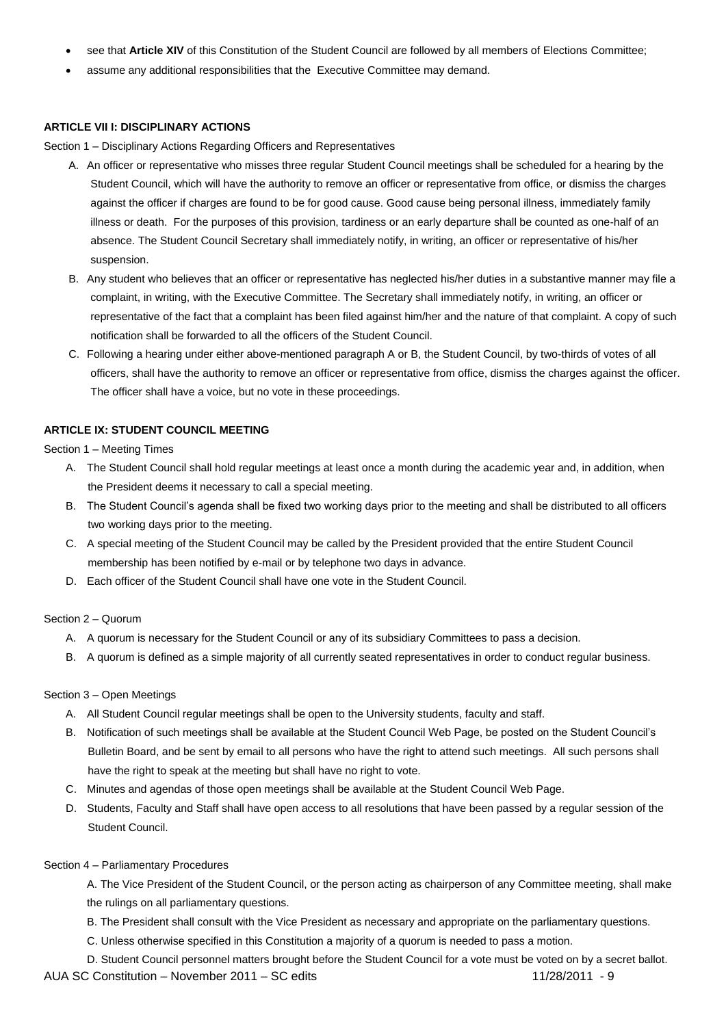- see that **Article XIV** of this Constitution of the Student Council are followed by all members of Elections Committee;
- assume any additional responsibilities that the Executive Committee may demand.

# **ARTICLE VII I: DISCIPLINARY ACTIONS**

Section 1 – Disciplinary Actions Regarding Officers and Representatives

- A. An officer or representative who misses three regular Student Council meetings shall be scheduled for a hearing by the Student Council, which will have the authority to remove an officer or representative from office, or dismiss the charges against the officer if charges are found to be for good cause. Good cause being personal illness, immediately family illness or death. For the purposes of this provision, tardiness or an early departure shall be counted as one-half of an absence. The Student Council Secretary shall immediately notify, in writing, an officer or representative of his/her suspension.
- B. Any student who believes that an officer or representative has neglected his/her duties in a substantive manner may file a complaint, in writing, with the Executive Committee. The Secretary shall immediately notify, in writing, an officer or representative of the fact that a complaint has been filed against him/her and the nature of that complaint. A copy of such notification shall be forwarded to all the officers of the Student Council.
- C. Following a hearing under either above-mentioned paragraph A or B, the Student Council, by two-thirds of votes of all officers, shall have the authority to remove an officer or representative from office, dismiss the charges against the officer. The officer shall have a voice, but no vote in these proceedings.

# **ARTICLE IX: STUDENT COUNCIL MEETING**

Section 1 – Meeting Times

- A. The Student Council shall hold regular meetings at least once a month during the academic year and, in addition, when the President deems it necessary to call a special meeting.
- B. The Student Council's agenda shall be fixed two working days prior to the meeting and shall be distributed to all officers two working days prior to the meeting.
- C. A special meeting of the Student Council may be called by the President provided that the entire Student Council membership has been notified by e-mail or by telephone two days in advance.
- D. Each officer of the Student Council shall have one vote in the Student Council.

# Section 2 – Quorum

- A. A quorum is necessary for the Student Council or any of its subsidiary Committees to pass a decision.
- B. A quorum is defined as a simple majority of all currently seated representatives in order to conduct regular business.

# Section 3 – Open Meetings

- A. All Student Council regular meetings shall be open to the University students, faculty and staff.
- B. Notification of such meetings shall be available at the Student Council Web Page, be posted on the Student Council's Bulletin Board, and be sent by email to all persons who have the right to attend such meetings. All such persons shall have the right to speak at the meeting but shall have no right to vote.
- C. Minutes and agendas of those open meetings shall be available at the Student Council Web Page.
- D. Students, Faculty and Staff shall have open access to all resolutions that have been passed by a regular session of the Student Council.

## Section 4 – Parliamentary Procedures

A. The Vice President of the Student Council, or the person acting as chairperson of any Committee meeting, shall make the rulings on all parliamentary questions.

- B. The President shall consult with the Vice President as necessary and appropriate on the parliamentary questions.
- C. Unless otherwise specified in this Constitution a majority of a quorum is needed to pass a motion.

AUA SC Constitution – November 2011 – SC edits 11/28/2011 - 9 D. Student Council personnel matters brought before the Student Council for a vote must be voted on by a secret ballot.